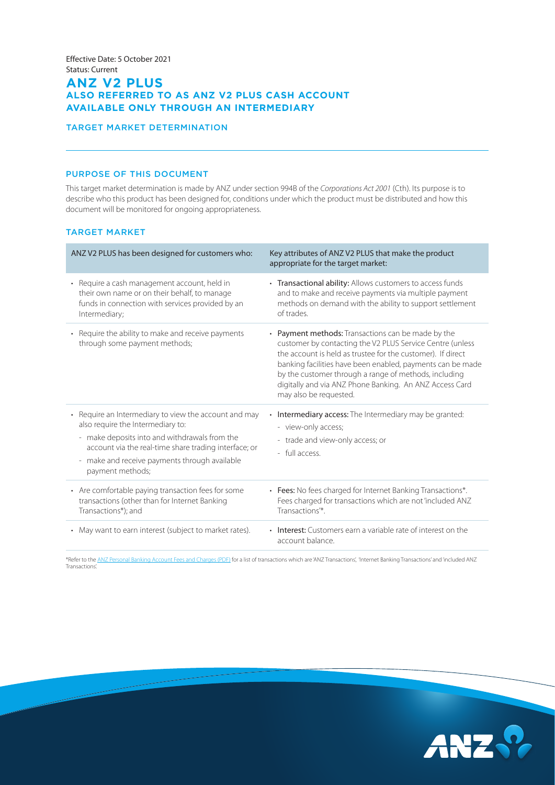# **ANZ V2 PLUS ALSO REFERRED TO AS ANZ V2 PLUS CASH ACCOUNT AVAILABLE ONLY THROUGH AN INTERMEDIARY**

### TARGET MARKET DETERMINATION

## PURPOSE OF THIS DOCUMENT

This target market determination is made by ANZ under section 994B of the *Corporations Act 2001* (Cth). Its purpose is to describe who this product has been designed for, conditions under which the product must be distributed and how this document will be monitored for ongoing appropriateness.

## TARGET MARKET

| ANZ V2 PLUS has been designed for customers who:                                                                                                                                                                                                                                                    | Key attributes of ANZ V2 PLUS that make the product<br>appropriate for the target market:                                                                                                                                                                                                                                                                                                  |
|-----------------------------------------------------------------------------------------------------------------------------------------------------------------------------------------------------------------------------------------------------------------------------------------------------|--------------------------------------------------------------------------------------------------------------------------------------------------------------------------------------------------------------------------------------------------------------------------------------------------------------------------------------------------------------------------------------------|
| • Require a cash management account, held in<br>their own name or on their behalf, to manage<br>funds in connection with services provided by an<br>Intermediary;                                                                                                                                   | • Transactional ability: Allows customers to access funds<br>and to make and receive payments via multiple payment<br>methods on demand with the ability to support settlement<br>of trades.                                                                                                                                                                                               |
| • Require the ability to make and receive payments<br>through some payment methods;                                                                                                                                                                                                                 | • Payment methods: Transactions can be made by the<br>customer by contacting the V2 PLUS Service Centre (unless<br>the account is held as trustee for the customer). If direct<br>banking facilities have been enabled, payments can be made<br>by the customer through a range of methods, including<br>digitally and via ANZ Phone Banking. An ANZ Access Card<br>may also be requested. |
| • Require an Intermediary to view the account and may<br>also require the Intermediary to:<br>- make deposits into and withdrawals from the<br>account via the real-time share trading interface; or<br>make and receive payments through available<br>$\overline{\phantom{a}}$<br>payment methods; | Intermediary access: The Intermediary may be granted:<br>- view-only access;<br>- trade and view-only access; or<br>- full access.                                                                                                                                                                                                                                                         |
| • Are comfortable paying transaction fees for some<br>transactions (other than for Internet Banking<br>Transactions*); and                                                                                                                                                                          | • Fees: No fees charged for Internet Banking Transactions*.<br>Fees charged for transactions which are not 'included ANZ<br>Transactions <sup>**</sup> .                                                                                                                                                                                                                                   |
| • May want to earn interest (subject to market rates).                                                                                                                                                                                                                                              | • Interest: Customers earn a variable rate of interest on the<br>account balance.                                                                                                                                                                                                                                                                                                          |

\*Refer to the [ANZ Personal Banking Account Fees and Charges \(PDF\)](https://www.anz.com.au/content/dam/anzcomau/documents/pdf/personal-account-fees-charges.pdf) for a list of transactions which are 'ANZ Transactions', 'Internet Banking Transactions' and 'included ANZ Transactions'.

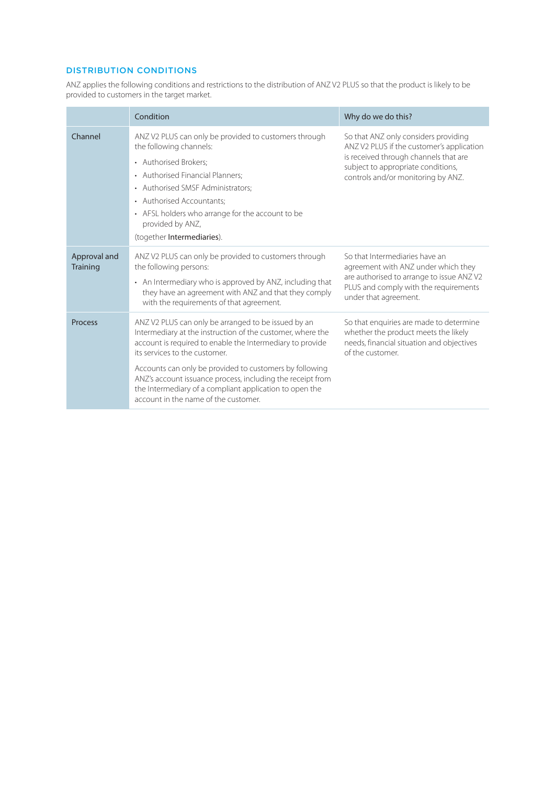## DISTRIBUTION CONDITIONS

ANZ applies the following conditions and restrictions to the distribution of ANZ V2 PLUS so that the product is likely to be provided to customers in the target market.

|                                 | Condition                                                                                                                                                                                                                                                                                                                                                                                                                                   | Why do we do this?                                                                                                                                                                                     |
|---------------------------------|---------------------------------------------------------------------------------------------------------------------------------------------------------------------------------------------------------------------------------------------------------------------------------------------------------------------------------------------------------------------------------------------------------------------------------------------|--------------------------------------------------------------------------------------------------------------------------------------------------------------------------------------------------------|
| Channel                         | ANZ V2 PLUS can only be provided to customers through<br>the following channels:<br>• Authorised Brokers;<br>• Authorised Financial Planners;<br>• Authorised SMSF Administrators;<br>• Authorised Accountants:<br>• AFSL holders who arrange for the account to be<br>provided by ANZ,<br>(together Intermediaries).                                                                                                                       | So that ANZ only considers providing<br>ANZ V2 PLUS if the customer's application<br>is received through channels that are<br>subject to appropriate conditions,<br>controls and/or monitoring by ANZ. |
| Approval and<br><b>Training</b> | ANZ V2 PLUS can only be provided to customers through<br>the following persons:<br>• An Intermediary who is approved by ANZ, including that<br>they have an agreement with ANZ and that they comply<br>with the requirements of that agreement.                                                                                                                                                                                             | So that Intermediaries have an<br>agreement with ANZ under which they<br>are authorised to arrange to issue ANZV2<br>PLUS and comply with the requirements<br>under that agreement.                    |
| <b>Process</b>                  | ANZ V2 PLUS can only be arranged to be issued by an<br>Intermediary at the instruction of the customer, where the<br>account is required to enable the Intermediary to provide<br>its services to the customer.<br>Accounts can only be provided to customers by following<br>ANZ's account issuance process, including the receipt from<br>the Intermediary of a compliant application to open the<br>account in the name of the customer. | So that enquiries are made to determine<br>whether the product meets the likely<br>needs, financial situation and objectives<br>of the customer.                                                       |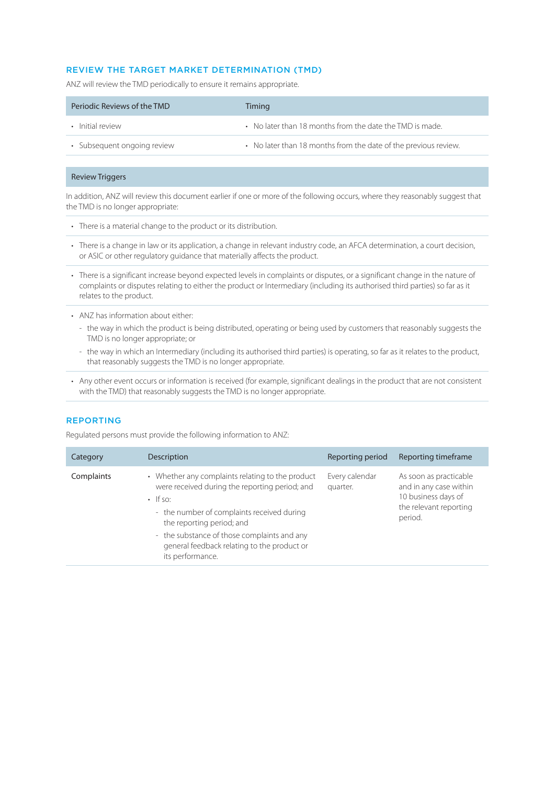## REVIEW THE TARGET MARKET DETERMINATION (TMD)

ANZ will review the TMD periodically to ensure it remains appropriate.

| Periodic Reviews of the TMD | Timing                                                          |
|-----------------------------|-----------------------------------------------------------------|
| • Initial review            | • No later than 18 months from the date the TMD is made.        |
| • Subsequent ongoing review | • No later than 18 months from the date of the previous review. |

### Review Triggers

In addition, ANZ will review this document earlier if one or more of the following occurs, where they reasonably suggest that the TMD is no longer appropriate:

- There is a material change to the product or its distribution.
- There is a change in law or its application, a change in relevant industry code, an AFCA determination, a court decision, or ASIC or other regulatory guidance that materially affects the product.
- There is a significant increase beyond expected levels in complaints or disputes, or a significant change in the nature of complaints or disputes relating to either the product or Intermediary (including its authorised third parties) so far as it relates to the product.
- ANZ has information about either:
	- the way in which the product is being distributed, operating or being used by customers that reasonably suggests the TMD is no longer appropriate; or
	- the way in which an Intermediary (including its authorised third parties) is operating, so far as it relates to the product, that reasonably suggests the TMD is no longer appropriate.
- Any other event occurs or information is received (for example, significant dealings in the product that are not consistent with the TMD) that reasonably suggests the TMD is no longer appropriate.

### REPORTING

Regulated persons must provide the following information to ANZ:

| Category   | Description                                                                                                                                                                                                                                                                                                       | Reporting period           | Reporting timeframe                                                                                          |
|------------|-------------------------------------------------------------------------------------------------------------------------------------------------------------------------------------------------------------------------------------------------------------------------------------------------------------------|----------------------------|--------------------------------------------------------------------------------------------------------------|
| Complaints | • Whether any complaints relating to the product<br>were received during the reporting period; and<br>$\cdot$ If so:<br>- the number of complaints received during<br>the reporting period; and<br>- the substance of those complaints and any<br>general feedback relating to the product or<br>its performance. | Every calendar<br>quarter. | As soon as practicable<br>and in any case within<br>10 business days of<br>the relevant reporting<br>period. |